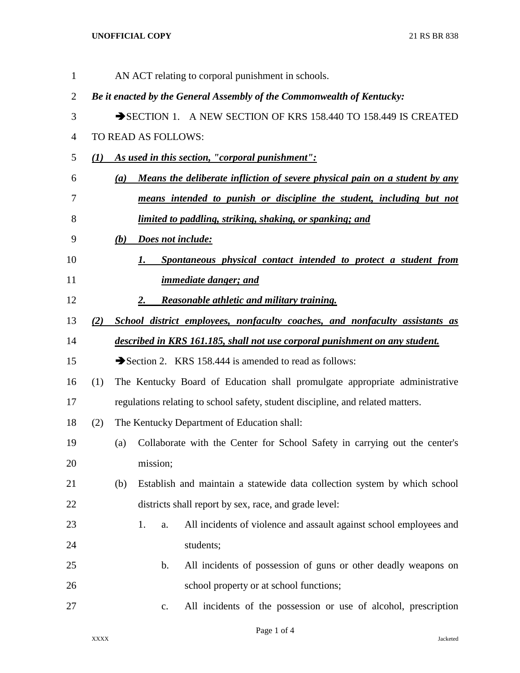## **UNOFFICIAL COPY** 21 RS BR 838

| $\mathbf{1}$   |                          |                                                                                 |                                             | AN ACT relating to corporal punishment in schools.                          |  |  |  |  |  |  |
|----------------|--------------------------|---------------------------------------------------------------------------------|---------------------------------------------|-----------------------------------------------------------------------------|--|--|--|--|--|--|
| $\overline{2}$ |                          |                                                                                 |                                             | Be it enacted by the General Assembly of the Commonwealth of Kentucky:      |  |  |  |  |  |  |
| 3              |                          | SECTION 1. A NEW SECTION OF KRS 158.440 TO 158.449 IS CREATED                   |                                             |                                                                             |  |  |  |  |  |  |
| $\overline{4}$ |                          |                                                                                 | TO READ AS FOLLOWS:                         |                                                                             |  |  |  |  |  |  |
| 5              | (I)                      |                                                                                 |                                             | As used in this section, "corporal punishment":                             |  |  |  |  |  |  |
| 6              |                          | $\left(a\right)$                                                                |                                             | Means the deliberate infliction of severe physical pain on a student by any |  |  |  |  |  |  |
| 7              |                          |                                                                                 |                                             | means intended to punish or discipline the student, including but not       |  |  |  |  |  |  |
| 8              |                          | <u>limited to paddling, striking, shaking, or spanking; and</u>                 |                                             |                                                                             |  |  |  |  |  |  |
| 9              | Does not include:<br>(b) |                                                                                 |                                             |                                                                             |  |  |  |  |  |  |
| 10             |                          |                                                                                 | 1.                                          | Spontaneous physical contact intended to protect a student from             |  |  |  |  |  |  |
| 11             |                          |                                                                                 |                                             | <i>immediate danger; and</i>                                                |  |  |  |  |  |  |
| 12             |                          |                                                                                 | 2.                                          | <b>Reasonable athletic and military training.</b>                           |  |  |  |  |  |  |
| 13             | (2)                      |                                                                                 |                                             | School district employees, nonfaculty coaches, and nonfaculty assistants as |  |  |  |  |  |  |
| 14             |                          |                                                                                 |                                             | described in KRS 161.185, shall not use corporal punishment on any student. |  |  |  |  |  |  |
| 15             |                          |                                                                                 |                                             | Section 2. KRS 158.444 is amended to read as follows:                       |  |  |  |  |  |  |
| 16             | (1)                      |                                                                                 |                                             | The Kentucky Board of Education shall promulgate appropriate administrative |  |  |  |  |  |  |
| 17             |                          | regulations relating to school safety, student discipline, and related matters. |                                             |                                                                             |  |  |  |  |  |  |
| 18             | (2)                      |                                                                                 | The Kentucky Department of Education shall: |                                                                             |  |  |  |  |  |  |
| 19             |                          | (a)                                                                             |                                             | Collaborate with the Center for School Safety in carrying out the center's  |  |  |  |  |  |  |
| 20             |                          |                                                                                 | mission;                                    |                                                                             |  |  |  |  |  |  |
| 21             |                          | (b)                                                                             |                                             | Establish and maintain a statewide data collection system by which school   |  |  |  |  |  |  |
| 22             |                          |                                                                                 |                                             | districts shall report by sex, race, and grade level:                       |  |  |  |  |  |  |
| 23             |                          |                                                                                 | 1.<br>a.                                    | All incidents of violence and assault against school employees and          |  |  |  |  |  |  |
| 24             |                          |                                                                                 |                                             | students;                                                                   |  |  |  |  |  |  |
| 25             |                          |                                                                                 | b.                                          | All incidents of possession of guns or other deadly weapons on              |  |  |  |  |  |  |
| 26             |                          |                                                                                 |                                             | school property or at school functions;                                     |  |  |  |  |  |  |
| 27             |                          |                                                                                 | $\mathbf{c}$ .                              | All incidents of the possession or use of alcohol, prescription             |  |  |  |  |  |  |
|                |                          |                                                                                 |                                             |                                                                             |  |  |  |  |  |  |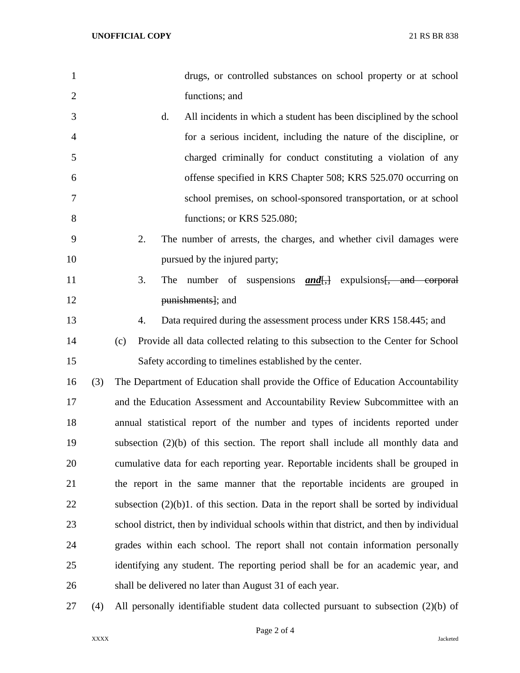| 1              |     | drugs, or controlled substances on school property or at school                          |  |  |  |  |  |  |
|----------------|-----|------------------------------------------------------------------------------------------|--|--|--|--|--|--|
| $\overline{2}$ |     | functions; and                                                                           |  |  |  |  |  |  |
| 3              |     | d.<br>All incidents in which a student has been disciplined by the school                |  |  |  |  |  |  |
| 4              |     | for a serious incident, including the nature of the discipline, or                       |  |  |  |  |  |  |
| 5              |     | charged criminally for conduct constituting a violation of any                           |  |  |  |  |  |  |
| 6              |     | offense specified in KRS Chapter 508; KRS 525.070 occurring on                           |  |  |  |  |  |  |
| 7              |     | school premises, on school-sponsored transportation, or at school                        |  |  |  |  |  |  |
| 8              |     | functions; or KRS 525.080;                                                               |  |  |  |  |  |  |
| 9              |     | 2.<br>The number of arrests, the charges, and whether civil damages were                 |  |  |  |  |  |  |
| 10             |     | pursued by the injured party;                                                            |  |  |  |  |  |  |
| 11             |     | 3.<br>number of suspensions <b>and</b> [,] expulsions [, and corporal<br>The             |  |  |  |  |  |  |
| 12             |     | punishments]; and                                                                        |  |  |  |  |  |  |
| 13             |     | Data required during the assessment process under KRS 158.445; and<br>4.                 |  |  |  |  |  |  |
| 14             |     | Provide all data collected relating to this subsection to the Center for School<br>(c)   |  |  |  |  |  |  |
| 15             |     | Safety according to timelines established by the center.                                 |  |  |  |  |  |  |
| 16             | (3) | The Department of Education shall provide the Office of Education Accountability         |  |  |  |  |  |  |
| 17             |     | and the Education Assessment and Accountability Review Subcommittee with an              |  |  |  |  |  |  |
| 18             |     | annual statistical report of the number and types of incidents reported under            |  |  |  |  |  |  |
| 19             |     | subsection $(2)(b)$ of this section. The report shall include all monthly data and       |  |  |  |  |  |  |
| 20             |     | cumulative data for each reporting year. Reportable incidents shall be grouped in        |  |  |  |  |  |  |
| 21             |     | the report in the same manner that the reportable incidents are grouped in               |  |  |  |  |  |  |
| 22             |     | subsection $(2)(b)1$ . of this section. Data in the report shall be sorted by individual |  |  |  |  |  |  |
| 23             |     | school district, then by individual schools within that district, and then by individual |  |  |  |  |  |  |
| 24             |     | grades within each school. The report shall not contain information personally           |  |  |  |  |  |  |
| 25             |     | identifying any student. The reporting period shall be for an academic year, and         |  |  |  |  |  |  |
| 26             |     | shall be delivered no later than August 31 of each year.                                 |  |  |  |  |  |  |
| 27             | (4) | All personally identifiable student data collected pursuant to subsection $(2)(b)$ of    |  |  |  |  |  |  |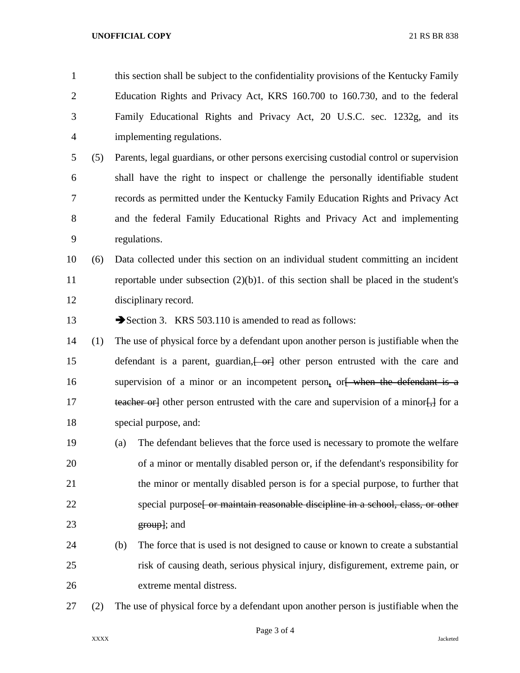this section shall be subject to the confidentiality provisions of the Kentucky Family Education Rights and Privacy Act, KRS 160.700 to 160.730, and to the federal Family Educational Rights and Privacy Act, 20 U.S.C. sec. 1232g, and its implementing regulations.

 (5) Parents, legal guardians, or other persons exercising custodial control or supervision shall have the right to inspect or challenge the personally identifiable student records as permitted under the Kentucky Family Education Rights and Privacy Act and the federal Family Educational Rights and Privacy Act and implementing regulations.

## (6) Data collected under this section on an individual student committing an incident reportable under subsection (2)(b)1. of this section shall be placed in the student's disciplinary record.

13 Section 3. KRS 503.110 is amended to read as follows:

 (1) The use of physical force by a defendant upon another person is justifiable when the 15 defendant is a parent, guardian,  $\leftarrow$  other person entrusted with the care and 16 supervision of a minor or an incompetent person, or when the defendant is a 17 teacher orlet other person entrusted with the care and supervision of a minor. The for a special purpose, and:

- (a) The defendant believes that the force used is necessary to promote the welfare of a minor or mentally disabled person or, if the defendant's responsibility for the minor or mentally disabled person is for a special purpose, to further that 22 special purpose<del>[ or maintain reasonable discipline in a school, class, or other</del> **group**; and
- (b) The force that is used is not designed to cause or known to create a substantial risk of causing death, serious physical injury, disfigurement, extreme pain, or extreme mental distress.
- (2) The use of physical force by a defendant upon another person is justifiable when the